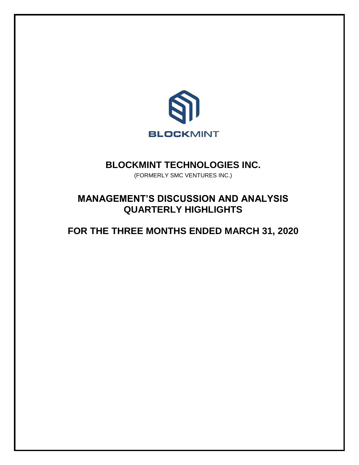

## **BLOCKMINT TECHNOLOGIES INC.**

(FORMERLY SMC VENTURES INC.)

# **MANAGEMENT'S DISCUSSION AND ANALYSIS QUARTERLY HIGHLIGHTS**

# **FOR THE THREE MONTHS ENDED MARCH 31, 2020**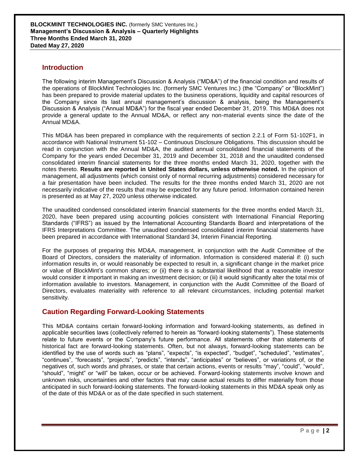### **Introduction**

The following interim Management's Discussion & Analysis ("MD&A") of the financial condition and results of the operations of BlockMint Technologies Inc. (formerly SMC Ventures Inc.) (the "Company" or "BlockMint") has been prepared to provide material updates to the business operations, liquidity and capital resources of the Company since its last annual management's discussion & analysis, being the Management's Discussion & Analysis ("Annual MD&A") for the fiscal year ended December 31, 2019. This MD&A does not provide a general update to the Annual MD&A, or reflect any non-material events since the date of the Annual MD&A.

This MD&A has been prepared in compliance with the requirements of section 2.2.1 of Form 51-102F1, in accordance with National Instrument 51-102 – Continuous Disclosure Obligations. This discussion should be read in conjunction with the Annual MD&A, the audited annual consolidated financial statements of the Company for the years ended December 31, 2019 and December 31, 2018 and the unaudited condensed consolidated interim financial statements for the three months ended March 31, 2020, together with the notes thereto. **Results are reported in United States dollars, unless otherwise noted.** In the opinion of management, all adjustments (which consist only of normal recurring adjustments) considered necessary for a fair presentation have been included. The results for the three months ended March 31, 2020 are not necessarily indicative of the results that may be expected for any future period. Information contained herein is presented as at May 27, 2020 unless otherwise indicated.

The unaudited condensed consolidated interim financial statements for the three months ended March 31, 2020, have been prepared using accounting policies consistent with International Financial Reporting Standards ("IFRS") as issued by the International Accounting Standards Board and interpretations of the IFRS Interpretations Committee. The unaudited condensed consolidated interim financial statements have been prepared in accordance with International Standard 34, Interim Financial Reporting.

For the purposes of preparing this MD&A, management, in conjunction with the Audit Committee of the Board of Directors, considers the materiality of information. Information is considered material if: (i) such information results in, or would reasonably be expected to result in, a significant change in the market price or value of BlockMint's common shares; or (ii) there is a substantial likelihood that a reasonable investor would consider it important in making an investment decision; or (iii) it would significantly alter the total mix of information available to investors. Management, in conjunction with the Audit Committee of the Board of Directors, evaluates materiality with reference to all relevant circumstances, including potential market sensitivity.

## **Caution Regarding Forward-Looking Statements**

This MD&A contains certain forward-looking information and forward-looking statements, as defined in applicable securities laws (collectively referred to herein as "forward-looking statements"). These statements relate to future events or the Company's future performance. All statements other than statements of historical fact are forward-looking statements. Often, but not always, forward-looking statements can be identified by the use of words such as "plans", "expects", "is expected", "budget", "scheduled", "estimates", "continues", "forecasts", "projects", "predicts", "intends", "anticipates" or "believes", or variations of, or the negatives of, such words and phrases, or state that certain actions, events or results "may", "could", "would", "should", "might" or "will" be taken, occur or be achieved. Forward-looking statements involve known and unknown risks, uncertainties and other factors that may cause actual results to differ materially from those anticipated in such forward-looking statements. The forward-looking statements in this MD&A speak only as of the date of this MD&A or as of the date specified in such statement.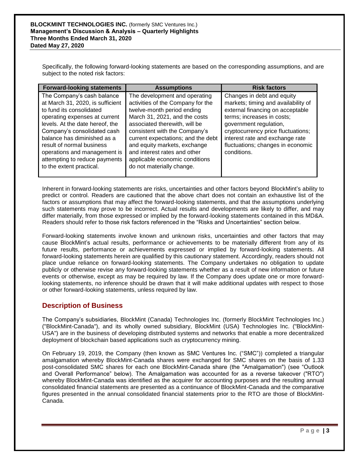Specifically, the following forward-looking statements are based on the corresponding assumptions, and are subject to the noted risk factors:

| <b>Forward-looking statements</b>                                                                                                                                                                                                                                                                                                                      | <b>Assumptions</b>                                                                                                                                                                                                                                                                                                                                                       | <b>Risk factors</b>                                                                                                                                                                                                                                                                        |
|--------------------------------------------------------------------------------------------------------------------------------------------------------------------------------------------------------------------------------------------------------------------------------------------------------------------------------------------------------|--------------------------------------------------------------------------------------------------------------------------------------------------------------------------------------------------------------------------------------------------------------------------------------------------------------------------------------------------------------------------|--------------------------------------------------------------------------------------------------------------------------------------------------------------------------------------------------------------------------------------------------------------------------------------------|
| The Company's cash balance<br>at March 31, 2020, is sufficient<br>to fund its consolidated<br>operating expenses at current<br>levels. At the date hereof, the<br>Company's consolidated cash<br>balance has diminished as a<br>result of normal business<br>operations and management is<br>attempting to reduce payments<br>to the extent practical. | The development and operating<br>activities of the Company for the<br>twelve-month period ending<br>March 31, 2021, and the costs<br>associated therewith, will be<br>consistent with the Company's<br>current expectations; and the debt<br>and equity markets, exchange<br>and interest rates and other<br>applicable economic conditions<br>do not materially change. | Changes in debt and equity<br>markets; timing and availability of<br>external financing on acceptable<br>terms; increases in costs;<br>government regulation,<br>cryptocurrency price fluctuations;<br>interest rate and exchange rate<br>fluctuations; changes in economic<br>conditions. |

Inherent in forward-looking statements are risks, uncertainties and other factors beyond BlockMint's ability to predict or control. Readers are cautioned that the above chart does not contain an exhaustive list of the factors or assumptions that may affect the forward-looking statements, and that the assumptions underlying such statements may prove to be incorrect. Actual results and developments are likely to differ, and may differ materially, from those expressed or implied by the forward-looking statements contained in this MD&A. Readers should refer to those risk factors referenced in the "Risks and Uncertainties" section below.

Forward-looking statements involve known and unknown risks, uncertainties and other factors that may cause BlockMint's actual results, performance or achievements to be materially different from any of its future results, performance or achievements expressed or implied by forward-looking statements. All forward-looking statements herein are qualified by this cautionary statement. Accordingly, readers should not place undue reliance on forward-looking statements. The Company undertakes no obligation to update publicly or otherwise revise any forward-looking statements whether as a result of new information or future events or otherwise, except as may be required by law. If the Company does update one or more forwardlooking statements, no inference should be drawn that it will make additional updates with respect to those or other forward-looking statements, unless required by law.

## **Description of Business**

The Company's subsidiaries, BlockMint (Canada) Technologies Inc. (formerly BlockMint Technologies Inc.) ("BlockMint-Canada"), and its wholly owned subsidiary, BlockMint (USA) Technologies Inc. ("BlockMint-USA") are in the business of developing distributed systems and networks that enable a more decentralized deployment of blockchain based applications such as cryptocurrency mining.

On February 19, 2019, the Company (then known as SMC Ventures Inc. ("SMC")) completed a triangular amalgamation whereby BlockMint-Canada shares were exchanged for SMC shares on the basis of 1.33 post-consolidated SMC shares for each one BlockMint-Canada share (the "Amalgamation") (see "Outlook and Overall Performance" below). The Amalgamation was accounted for as a reverse takeover ("RTO") whereby BlockMint-Canada was identified as the acquirer for accounting purposes and the resulting annual consolidated financial statements are presented as a continuance of BlockMint-Canada and the comparative figures presented in the annual consolidated financial statements prior to the RTO are those of BlockMint-Canada.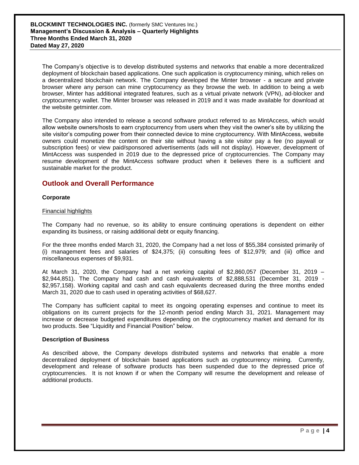The Company's objective is to develop distributed systems and networks that enable a more decentralized deployment of blockchain based applications. One such application is cryptocurrency mining, which relies on a decentralized blockchain network. The Company developed the Minter browser - a secure and private browser where any person can mine cryptocurrency as they browse the web. In addition to being a web browser, Minter has additional integrated features, such as a virtual private network (VPN), ad-blocker and cryptocurrency wallet. The Minter browser was released in 2019 and it was made available for download at the website getminter.com.

The Company also intended to release a second software product referred to as MintAccess, which would allow website owners/hosts to earn cryptocurrency from users when they visit the owner's site by utilizing the site visitor's computing power from their connected device to mine cryptocurrency. With MintAccess, website owners could monetize the content on their site without having a site visitor pay a fee (no paywall or subscription fees) or view paid/sponsored advertisements (ads will not display). However, development of MintAccess was suspended in 2019 due to the depressed price of cryptocurrencies. The Company may resume development of the MintAccess software product when it believes there is a sufficient and sustainable market for the product.

#### **Outlook and Overall Performance**

#### **Corporate**

#### Financial highlights

The Company had no revenue, so its ability to ensure continuing operations is dependent on either expanding its business, or raising additional debt or equity financing.

For the three months ended March 31, 2020, the Company had a net loss of \$55,384 consisted primarily of (i) management fees and salaries of \$24,375; (ii) consulting fees of \$12,979; and (iii) office and miscellaneous expenses of \$9,931.

At March 31, 2020, the Company had a net working capital of \$2,860,057 (December 31, 2019 – \$2,944,851). The Company had cash and cash equivalents of \$2,888,531 (December 31, 2019 - \$2,957,158). Working capital and cash and cash equivalents decreased during the three months ended March 31, 2020 due to cash used in operating activities of \$68,627.

The Company has sufficient capital to meet its ongoing operating expenses and continue to meet its obligations on its current projects for the 12-month period ending March 31, 2021. Management may increase or decrease budgeted expenditures depending on the cryptocurrency market and demand for its two products. See "Liquidity and Financial Position" below.

#### **Description of Business**

As described above, the Company develops distributed systems and networks that enable a more decentralized deployment of blockchain based applications such as cryptocurrency mining. Currently, development and release of software products has been suspended due to the depressed price of cryptocurrencies. It is not known if or when the Company will resume the development and release of additional products.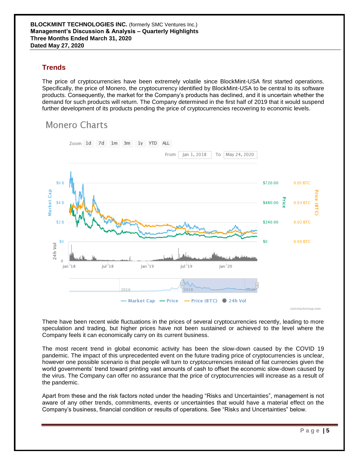## **Trends**

The price of cryptocurrencies have been extremely volatile since BlockMint-USA first started operations. Specifically, the price of Monero, the cryptocurrency identified by BlockMint-USA to be central to its software products. Consequently, the market for the Company's products has declined, and it is uncertain whether the demand for such products will return. The Company determined in the first half of 2019 that it would suspend further development of its products pending the price of cryptocurrencies recovering to economic levels.

## Monero Charts



coinmarketcap.com

There have been recent wide fluctuations in the prices of several cryptocurrencies recently, leading to more speculation and trading, but higher prices have not been sustained or achieved to the level where the Company feels it can economically carry on its current business.

The most recent trend in global economic activity has been the slow-down caused by the COVID 19 pandemic. The impact of this unprecedented event on the future trading price of cryptocurrencies is unclear, however one possible scenario is that people will turn to cryptocurrencies instead of fiat currencies given the world governments' trend toward printing vast amounts of cash to offset the economic slow-down caused by the virus. The Company can offer no assurance that the price of cryptocurrencies will increase as a result of the pandemic.

Apart from these and the risk factors noted under the heading "Risks and Uncertainties", management is not aware of any other trends, commitments, events or uncertainties that would have a material effect on the Company's business, financial condition or results of operations. See "Risks and Uncertainties" below.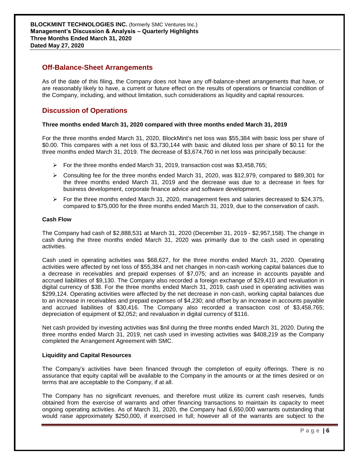### **Off-Balance-Sheet Arrangements**

As of the date of this filing, the Company does not have any off-balance-sheet arrangements that have, or are reasonably likely to have, a current or future effect on the results of operations or financial condition of the Company, including, and without limitation, such considerations as liquidity and capital resources.

## **Discussion of Operations**

#### **Three months ended March 31, 2020 compared with three months ended March 31, 2019**

For the three months ended March 31, 2020, BlockMint's net loss was \$55,384 with basic loss per share of \$0.00. This compares with a net loss of \$3,730,144 with basic and diluted loss per share of \$0.11 for the three months ended March 31, 2019. The decrease of \$3,674,760 in net loss was principally because:

- For the three months ended March 31, 2019, transaction cost was  $$3,458,765$ ;
- $\triangleright$  Consulting fee for the three months ended March 31, 2020, was \$12,979, compared to \$89,301 for the three months ended March 31, 2019 and the decrease was due to a decrease in fees for business development, corporate finance advice and software development.
- $\triangleright$  For the three months ended March 31, 2020, management fees and salaries decreased to \$24,375, compared to \$75,000 for the three months ended March 31, 2019, due to the conservation of cash.

#### **Cash Flow**

The Company had cash of \$2,888,531 at March 31, 2020 (December 31, 2019 - \$2,957,158). The change in cash during the three months ended March 31, 2020 was primarily due to the cash used in operating activities.

Cash used in operating activities was \$68,627, for the three months ended March 31, 2020. Operating activities were affected by net loss of \$55,384 and net changes in non-cash working capital balances due to a decrease in receivables and prepaid expenses of \$7,075; and an increase in accounts payable and accrued liabilities of \$9,130. The Company also recorded a foreign exchange of \$29,410 and revaluation in digital currency of \$38. For the three months ended March 31, 2019, cash used in operating activities was \$299,124. Operating activities were affected by the net decrease in non-cash, working capital balances due to an increase in receivables and prepaid expenses of \$4,230; and offset by an increase in accounts payable and accrued liabilities of \$30,416. The Company also recorded a transaction cost of \$3,458,765; depreciation of equipment of \$2,052; and revaluation in digital currency of \$116.

Net cash provided by investing activities was \$nil during the three months ended March 31, 2020. During the three months ended March 31, 2019, net cash used in investing activities was \$408,219 as the Company completed the Arrangement Agreement with SMC.

#### **Liquidity and Capital Resources**

The Company's activities have been financed through the completion of equity offerings. There is no assurance that equity capital will be available to the Company in the amounts or at the times desired or on terms that are acceptable to the Company, if at all.

The Company has no significant revenues, and therefore must utilize its current cash reserves, funds obtained from the exercise of warrants and other financing transactions to maintain its capacity to meet ongoing operating activities. As of March 31, 2020, the Company had 6,650,000 warrants outstanding that would raise approximately \$250,000, if exercised in full; however all of the warrants are subject to the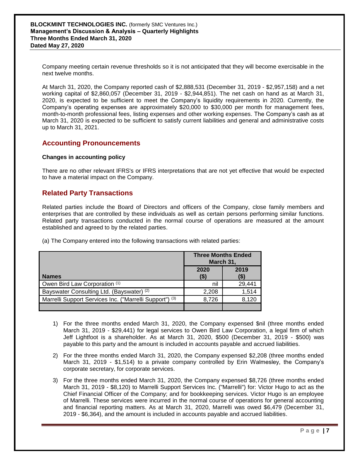Company meeting certain revenue thresholds so it is not anticipated that they will become exercisable in the next twelve months.

At March 31, 2020, the Company reported cash of \$2,888,531 (December 31, 2019 - \$2,957,158) and a net working capital of \$2,860,057 (December 31, 2019 - \$2,944,851). The net cash on hand as at March 31, 2020, is expected to be sufficient to meet the Company's liquidity requirements in 2020. Currently, the Company's operating expenses are approximately \$20,000 to \$30,000 per month for management fees, month-to-month professional fees, listing expenses and other working expenses. The Company's cash as at March 31, 2020 is expected to be sufficient to satisfy current liabilities and general and administrative costs up to March 31, 2021.

### **Accounting Pronouncements**

#### **Changes in accounting policy**

There are no other relevant IFRS's or IFRS interpretations that are not yet effective that would be expected to have a material impact on the Company.

## **Related Party Transactions**

Related parties include the Board of Directors and officers of the Company, close family members and enterprises that are controlled by these individuals as well as certain persons performing similar functions. Related party transactions conducted in the normal course of operations are measured at the amount established and agreed to by the related parties.

(a) The Company entered into the following transactions with related parties:

|                                                         | <b>Three Months Ended</b><br>March 31, |              |
|---------------------------------------------------------|----------------------------------------|--------------|
| <b>Names</b>                                            | 2020<br>(\$)                           | 2019<br>(\$) |
| Owen Bird Law Corporation (1)                           | nil                                    | 29,441       |
| Bayswater Consulting Ltd. (Bayswater) (2)               | 2,208                                  | 1.514        |
| Marrelli Support Services Inc. ("Marrelli Support") (3) | 8,726                                  | 8,120        |
|                                                         |                                        |              |

- 1) For the three months ended March 31, 2020, the Company expensed \$nil (three months ended March 31, 2019 - \$29,441) for legal services to Owen Bird Law Corporation, a legal firm of which Jeff Lightfoot is a shareholder. As at March 31, 2020, \$500 (December 31, 2019 - \$500) was payable to this party and the amount is included in accounts payable and accrued liabilities.
- 2) For the three months ended March 31, 2020, the Company expensed \$2,208 (three months ended March 31, 2019 - \$1,514) to a private company controlled by Erin Walmesley, the Company's corporate secretary, for corporate services.
- 3) For the three months ended March 31, 2020, the Company expensed \$8,726 (three months ended March 31, 2019 - \$8,120) to Marrelli Support Services Inc. ("Marrelli") for: Victor Hugo to act as the Chief Financial Officer of the Company; and for bookkeeping services. Victor Hugo is an employee of Marrelli. These services were incurred in the normal course of operations for general accounting and financial reporting matters. As at March 31, 2020, Marrelli was owed \$6,479 (December 31, 2019 - \$6,364), and the amount is included in accounts payable and accrued liabilities.